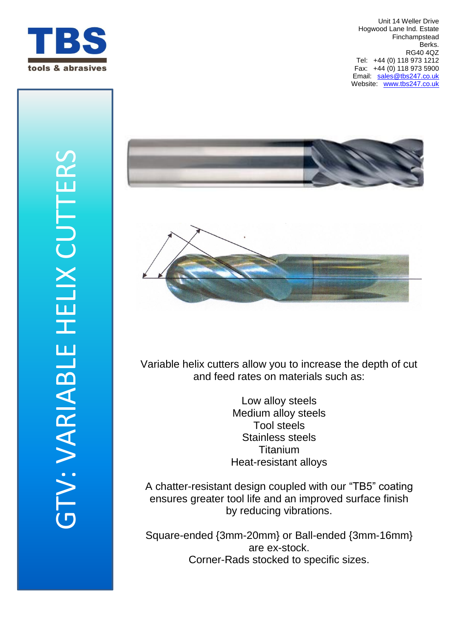





Variable helix cutters allow you to increase the depth of cut and feed rates on materials such as:

> Low alloy steels Medium alloy steels Tool steels Stainless steels **Titanium** Heat-resistant alloys

A chatter-resistant design coupled with our "TB5" coating ensures greater tool life and an improved surface finish by reducing vibrations.

Square-ended {3mm-20mm} or Ball-ended {3mm-16mm} are ex-stock. Corner-Rads stocked to specific sizes.